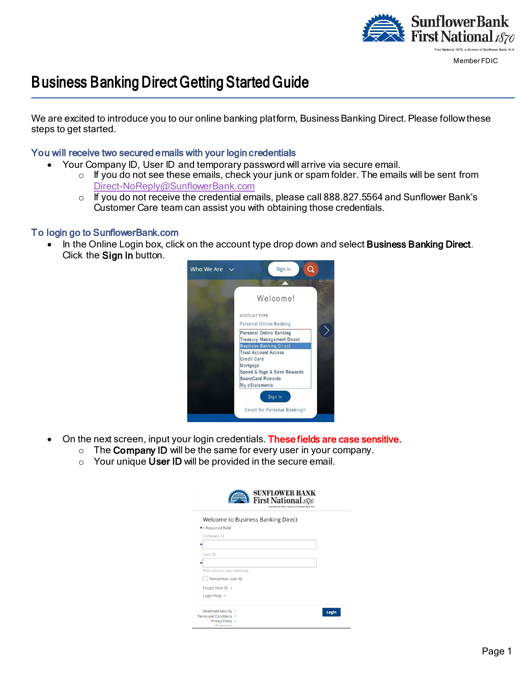

Member FDIC

# Business Banking Direct Getting Started Guide

We are excited to introduce you to our online banking platform, Business Banking Direct. Please follow these steps to get started.

### You will receive two secured emails with your login credentials

- Your Company ID, User ID and temporary password will arrive via secure email.
	- $\circ$  If you do not see these emails, check your junk or spam folder. The emails will be sent from [Direct-NoReply@SunflowerBank.com](mailto:Direct-NoReply@SunflowerBank.com)
	- o If you do not receive the credential emails, please call 888.827.5564 and Sunflower Bank's Customer Care team can assist you with obtaining those credentials.

#### To login go to SunflowerBank.com

In the Online Login box, click on the account type drop down and select **Business Banking Direct**. Click the Sign In button.



- On the next screen, input your login credentials. These fields are case sensitive.
	- $\circ$  The Company ID will be the same for every user in your company.
	- $\circ$  Your unique User ID will be provided in the secure email.

| <b>SUNFLOWER BANK</b><br><b>Exercise Service Strategy</b><br>First National 1870, a division of Sunflower Bank, N.A. |       |
|----------------------------------------------------------------------------------------------------------------------|-------|
| <b>Welcome to Business Banking Direct</b>                                                                            |       |
| <b>E</b> = Required Field                                                                                            |       |
| Company ID                                                                                                           |       |
| ٠                                                                                                                    |       |
| User ID                                                                                                              |       |
| ٠                                                                                                                    |       |
| This value is case sensitive.                                                                                        |       |
| <b>Remember User ID</b>                                                                                              |       |
| Forgot User ID >                                                                                                     |       |
| Login Help >                                                                                                         |       |
| Download Security >                                                                                                  | Login |
| Terms and Conditions >                                                                                               |       |
| Privacy Policy ><br>Contact Units                                                                                    |       |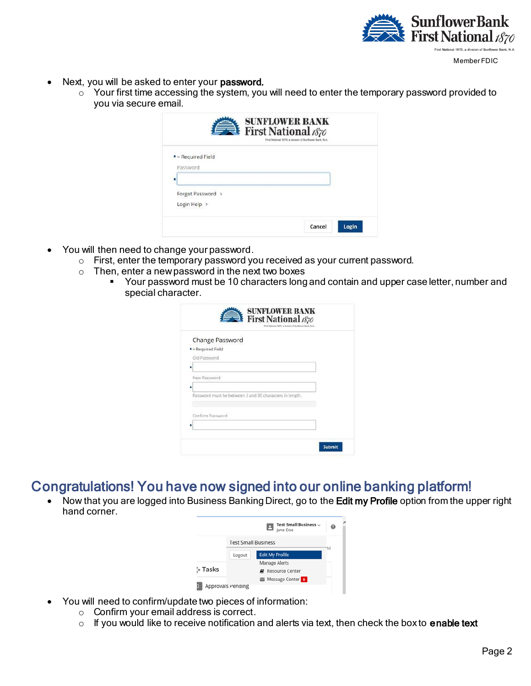

Member FDIC

- Next, you will be asked to enter your password.
	- $\circ$  Your first time accessing the system, you will need to enter the temporary password provided to you via secure email.

| <b>SUNFLOWER BANK</b><br><b>Exercise Service Street First National 1870</b> |  |        |       |
|-----------------------------------------------------------------------------|--|--------|-------|
| $P = Required$ Field<br>Password                                            |  |        |       |
| п                                                                           |  |        |       |
| Forgot Password >                                                           |  |        |       |
| Login Help >                                                                |  |        |       |
|                                                                             |  | Cancel | Login |

- You will then need to change your password.
	- o First, enter the temporary password you received as your current password.
	- o Then, enter a new password in the next two boxes
		- Your password must be 10 characters long and contain and upper case letter, number and special character.

|                  | Change Password                                         |  |  |
|------------------|---------------------------------------------------------|--|--|
| Required Field   |                                                         |  |  |
| Old Password     |                                                         |  |  |
|                  |                                                         |  |  |
| New Password     |                                                         |  |  |
|                  |                                                         |  |  |
|                  | Password must be between 3 and 30 characters in length, |  |  |
|                  |                                                         |  |  |
| Confirm Password |                                                         |  |  |
|                  |                                                         |  |  |

# Congratulations! You have now signed into our online banking platform!

• Now that you are logged into Business Banking Direct, go to the Edit my Profile option from the upper right hand corner.

|                |                            | Test Small Business $\backsim$<br>в<br>lane Doe | 0  |
|----------------|----------------------------|-------------------------------------------------|----|
|                | <b>Test Small Business</b> |                                                 | ۰M |
|                | Logout                     | <b>Edit My Profile</b>                          |    |
|                |                            | <b>Manage Alerts</b>                            |    |
| <b>S</b> Tasks |                            | <b>Resource Center</b>                          |    |
|                |                            | Message Center o                                |    |
|                | Approvals renaing          |                                                 |    |

- You will need to confirm/update two pieces of information:
	- o Confirm your email address is correct.
	- o If you would like to receive notification and alerts via text, then check the box to enable text